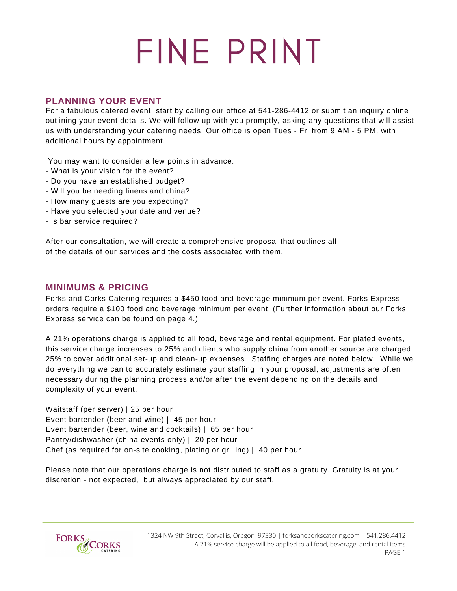# FINE PRINT

## **PLANNING YOUR EVENT**

For a fabulous catered event, start by calling our office at 541-286-4412 or submit an inquiry online outlining your event details. We will follow up with you promptly, asking any questions that will assist us with understanding your catering needs. Our office is open Tues - Fri from 9 AM - 5 PM, with additional hours by appointment.

You may want to consider a few points in advance:

- What is your vision for the event?
- Do you have an established budget?
- Will you be needing linens and china?
- How many guests are you expecting?
- Have you selected your date and venue?
- Is bar service required?

After our consultation, we will create a comprehensive proposal that outlines all of the details of our services and the costs associated with them.

## **MINIMUMS & PRICING**

Forks and Corks Catering requires a \$450 food and beverage minimum per event. Forks Express orders require a \$100 food and beverage minimum per event. (Further information about our Forks Express service can be found on page 4.)

A 21% operations charge is applied to all food, beverage and rental equipment. For plated events, this service charge increases to 25% and clients who supply china from another source are charged 25% to cover additional set-up and clean-up expenses. Staffing charges are noted below. While we do everything we can to accurately estimate your staffing in your proposal, adjustments are often necessary during the planning process and/or after the event depending on the details and complexity of your event.

Waitstaff (per server) | 25 per hour Event bartender (beer and wine) | 45 per hour Event bartender (beer, wine and cocktails) | 65 per hour Pantry/dishwasher (china events only) | 20 per hour Chef (as required for on-site cooking, plating or grilling) | 40 per hour

Please note that our operations charge is not distributed to staff as a gratuity. Gratuity is at your discretion - not expected, but always appreciated by our staff.

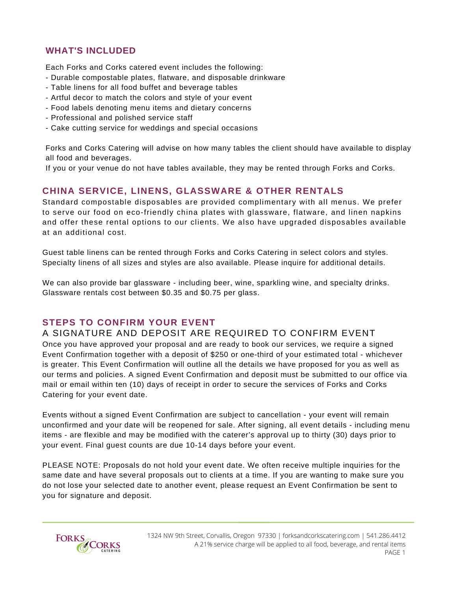# **WHAT'S INCLUDED**

Each Forks and Corks catered event includes the following:

- Durable compostable plates, flatware, and disposable drinkware
- Table linens for all food buffet and beverage tables
- Artful decor to match the colors and style of your event
- Food labels denoting menu items and dietary concerns
- Professional and polished service staff
- Cake cutting service for weddings and special occasions

Forks and Corks Catering will advise on how many tables the client should have available to display all food and beverages.

If you or your venue do not have tables available, they may be rented through Forks and Corks.

## **CHINA SERVICE, LINENS, GLASSWARE & OTHER RENTALS**

Standard compostable disposables are provided complimentary with all menus. We prefer to serve our food on eco-friendly china plates with glassware, flatware, and linen napkins and offer these rental options to our clients. We also have upgraded disposables available at an additional cost.

Guest table linens can be rented through Forks and Corks Catering in select colors and styles. Specialty linens of all sizes and styles are also available. Please inquire for additional details.

We can also provide bar glassware - including beer, wine, sparkling wine, and specialty drinks. Glassware rentals cost between \$0.35 and \$0.75 per glass.

## **STEPS TO CONFIRM YOUR EVENT**

#### A SIGNATURE AND DEPOSIT ARE REQUIRED TO CONFIRM EVENT

Once you have approved your proposal and are ready to book our services, we require a signed Event Confirmation together with a deposit of \$250 or one-third of your estimated total - whichever is greater. This Event Confirmation will outline all the details we have proposed for you as well as our terms and policies. A signed Event Confirmation and deposit must be submitted to our office via mail or email within ten (10) days of receipt in order to secure the services of Forks and Corks Catering for your event date.

Events without a signed Event Confirmation are subject to cancellation - your event will remain unconfirmed and your date will be reopened for sale. After signing, all event details - including menu items - are flexible and may be modified with the caterer's approval up to thirty (30) days prior to your event. Final guest counts are due 10-14 days before your event.

PLEASE NOTE: Proposals do not hold your event date. We often receive multiple inquiries for the same date and have several proposals out to clients at a time. If you are wanting to make sure you do not lose your selected date to another event, please request an Event Confirmation be sent to you for signature and deposit.

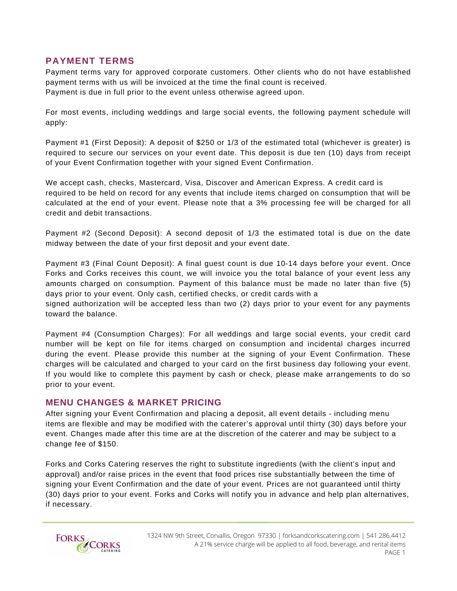#### **PAYMENT TERMS**

Payment terms vary for approved corporate customers. Other clients who do not have established payment terms with us will be invoiced at the time the final count is received. Payment is due in full prior to the event unless otherwise agreed upon.

For most events, including weddings and large social events, the following payment schedule will apply:

Payment #1 (First Deposit): A deposit of \$250 or 1/3 of the estimated total (whichever is greater) is required to secure our services on your event date. This deposit is due ten (10) days from receipt of your Event Confirmation together with your signed Event Confirmation.

We accept cash, checks, Mastercard, Visa, Discover and American Express. A credit card is required to be held on record for any events that include items charged on consumption that will be calculated at the end of your event. Please note that a 3% processing fee will be charged for all credit and debit transactions.

Payment #2 (Second Deposit): A second deposit of 1/3 the estimated total is due on the date midway between the date of your first deposit and your event date.

Payment #3 (Final Count Deposit): A final guest count is due 10-14 days before your event. Once Forks and Corks receives this count, we will invoice you the total balance of your event less any amounts charged on consumption. Payment of this balance must be made no later than five (5) days prior to your event. Only cash, certified checks, or credit cards with a

signed authorization will be accepted less than two (2) days prior to your event for any payments toward the balance.

Payment #4 (Consumption Charges): For all weddings and large social events, your credit card number will be kept on file for items charged on consumption and incidental charges incurred during the event. Please provide this number at the signing of your Event Confirmation. These charges will be calculated and charged to your card on the first business day following your event. If you would like to complete this payment by cash or check, please make arrangements to do so prior to your event.

#### **MENU CHANGES & MARKET PRICING**

After signing your Event Confirmation and placing a deposit, all event details - including menu items are flexible and may be modified with the caterer's approval until thirty (30) days before your event. Changes made after this time are at the discretion of the caterer and may be subject to a change fee of \$150.

Forks and Corks Catering reserves the right to substitute ingredients (with the client's input and approval) and/or raise prices in the event that food prices rise substantially between the time of signing your Event Confirmation and the date of your event. Prices are not guaranteed until thirty (30) days prior to your event. Forks and Corks will notify you in advance and help plan alternatives, if necessary.

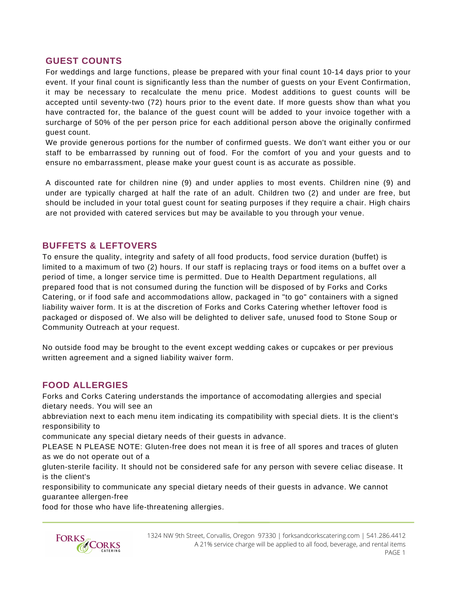#### **GUEST COUNTS**

For weddings and large functions, please be prepared with your final count 10-14 days prior to your event. If your final count is significantly less than the number of guests on your Event Confirmation, it may be necessary to recalculate the menu price. Modest additions to guest counts will be accepted until seventy-two (72) hours prior to the event date. If more guests show than what you have contracted for, the balance of the guest count will be added to your invoice together with a surcharge of 50% of the per person price for each additional person above the originally confirmed guest count.

We provide generous portions for the number of confirmed guests. We don't want either you or our staff to be embarrassed by running out of food. For the comfort of you and your guests and to ensure no embarrassment, please make your guest count is as accurate as possible.

A discounted rate for children nine (9) and under applies to most events. Children nine (9) and under are typically charged at half the rate of an adult. Children two (2) and under are free, but should be included in your total guest count for seating purposes if they require a chair. High chairs are not provided with catered services but may be available to you through your venue.

#### **BUFFETS & LEFTOVERS**

To ensure the quality, integrity and safety of all food products, food service duration (buffet) is limited to a maximum of two (2) hours. If our staff is replacing trays or food items on a buffet over a period of time, a longer service time is permitted. Due to Health Department regulations, all prepared food that is not consumed during the function will be disposed of by Forks and Corks Catering, or if food safe and accommodations allow, packaged in "to go" containers with a signed liability waiver form. It is at the discretion of Forks and Corks Catering whether leftover food is packaged or disposed of. We also will be delighted to deliver safe, unused food to Stone Soup or Community Outreach at your request.

No outside food may be brought to the event except wedding cakes or cupcakes or per previous written agreement and a signed liability waiver form.

## **FOOD ALLERGIES**

Forks and Corks Catering understands the importance of accomodating allergies and special dietary needs. You will see an

abbreviation next to each menu item indicating its compatibility with special diets. It is the client's responsibility to

communicate any special dietary needs of their guests in advance.

PLEASE N PLEASE NOTE: Gluten-free does not mean it is free of all spores and traces of gluten as we do not operate out of a

gluten-sterile facility. It should not be considered safe for any person with severe celiac disease. It is the client's

responsibility to communicate any special dietary needs of their guests in advance. We cannot guarantee allergen-free

food for those who have life-threatening allergies.

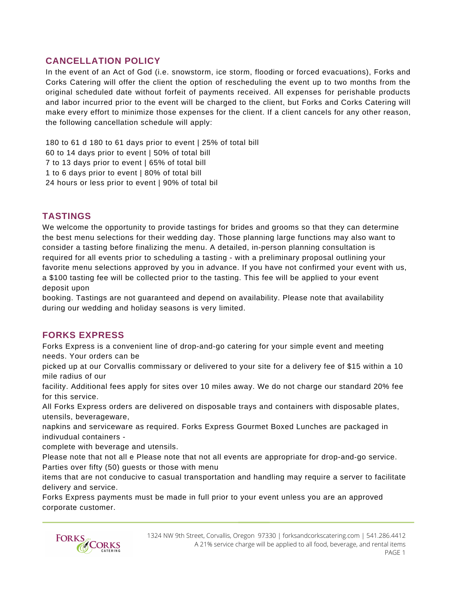## **CANCELLATION POLICY**

In the event of an Act of God (i.e. snowstorm, ice storm, flooding or forced evacuations), Forks and Corks Catering will offer the client the option of rescheduling the event up to two months from the original scheduled date without forfeit of payments received. All expenses for perishable products and labor incurred prior to the event will be charged to the client, but Forks and Corks Catering will make every effort to minimize those expenses for the client. If a client cancels for any other reason, the following cancellation schedule will apply:

 to 61 d 180 to 61 days prior to event | 25% of total bill to 14 days prior to event | 50% of total bill to 13 days prior to event | 65% of total bill to 6 days prior to event | 80% of total bill hours or less prior to event | 90% of total bil

## **TASTINGS**

We welcome the opportunity to provide tastings for brides and grooms so that they can determine the best menu selections for their wedding day. Those planning large functions may also want to consider a tasting before finalizing the menu. A detailed, in-person planning consultation is required for all events prior to scheduling a tasting - with a preliminary proposal outlining your favorite menu selections approved by you in advance. If you have not confirmed your event with us, a \$100 tasting fee will be collected prior to the tasting. This fee will be applied to your event deposit upon

booking. Tastings are not guaranteed and depend on availability. Please note that availability during our wedding and holiday seasons is very limited.

#### **FORKS EXPRESS**

Forks Express is a convenient line of drop-and-go catering for your simple event and meeting needs. Your orders can be

picked up at our Corvallis commissary or delivered to your site for a delivery fee of \$15 within a 10 mile radius of our

facility. Additional fees apply for sites over 10 miles away. We do not charge our standard 20% fee for this service.

All Forks Express orders are delivered on disposable trays and containers with disposable plates, utensils, beverageware,

napkins and serviceware as required. Forks Express Gourmet Boxed Lunches are packaged in indivudual containers -

complete with beverage and utensils.

Please note that not all e Please note that not all events are appropriate for drop-and-go service. Parties over fifty (50) guests or those with menu

items that are not conducive to casual transportation and handling may require a server to facilitate delivery and service.

Forks Express payments must be made in full prior to your event unless you are an approved corporate customer.

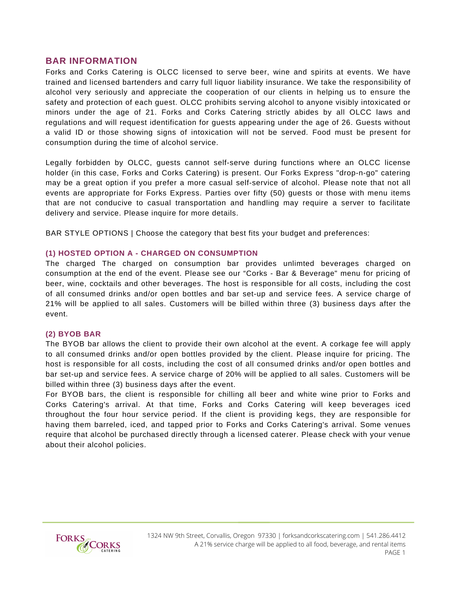#### **BAR INFORMATION**

Forks and Corks Catering is OLCC licensed to serve beer, wine and spirits at events. We have trained and licensed bartenders and carry full liquor liability insurance. We take the responsibility of alcohol very seriously and appreciate the cooperation of our clients in helping us to ensure the safety and protection of each guest. OLCC prohibits serving alcohol to anyone visibly intoxicated or minors under the age of 21. Forks and Corks Catering strictly abides by all OLCC laws and regulations and will request identification for guests appearing under the age of 26. Guests without a valid ID or those showing signs of intoxication will not be served. Food must be present for consumption during the time of alcohol service.

Legally forbidden by OLCC, guests cannot self-serve during functions where an OLCC license holder (in this case, Forks and Corks Catering) is present. Our Forks Express "drop-n-go" catering may be a great option if you prefer a more casual self-service of alcohol. Please note that not all events are appropriate for Forks Express. Parties over fifty (50) guests or those with menu items that are not conducive to casual transportation and handling may require a server to facilitate delivery and service. Please inquire for more details.

BAR STYLE OPTIONS | Choose the category that best fits your budget and preferences:

#### **(1) HOSTED OPTION A - CHARGED ON CONSUMPTION**

The charged The charged on consumption bar provides unlimted beverages charged on consumption at the end of the event. Please see our "Corks - Bar & Beverage" menu for pricing of beer, wine, cocktails and other beverages. The host is responsible for all costs, including the cost of all consumed drinks and/or open bottles and bar set-up and service fees. A service charge of 21% will be applied to all sales. Customers will be billed within three (3) business days after the event.

#### **(2) BYOB BAR**

The BYOB bar allows the client to provide their own alcohol at the event. A corkage fee will apply to all consumed drinks and/or open bottles provided by the client. Please inquire for pricing. The host is responsible for all costs, including the cost of all consumed drinks and/or open bottles and bar set-up and service fees. A service charge of 20% will be applied to all sales. Customers will be billed within three (3) business days after the event.

For BYOB bars, the client is responsible for chilling all beer and white wine prior to Forks and Corks Catering's arrival. At that time, Forks and Corks Catering will keep beverages iced throughout the four hour service period. If the client is providing kegs, they are responsible for having them barreled, iced, and tapped prior to Forks and Corks Catering's arrival. Some venues require that alcohol be purchased directly through a licensed caterer. Please check with your venue about their alcohol policies.